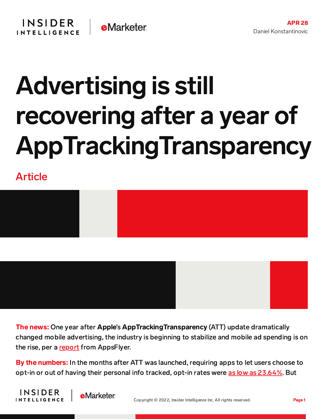## Advertising is still recovering after a year of AppTrackingTransparency

Article





The news: One year after Apple's AppTrackingTransparency (ATT) update dramatically changed mobile advertising, the industry is beginning to stabilize and mobile ad spending is on the rise, per a [report](https://www.appsflyer.com/infograms/att-one-year-on/) from AppsFlyer.

By the numbers: In the months after ATT was launched, requiring apps to let users choose to opt-in or out of having their personal info tracked, opt-in rates were as low as [23.64%.](https://content-na2.emarketer.com/ios-ad-spend-drops-app-tracking-transparency-takes-off) But